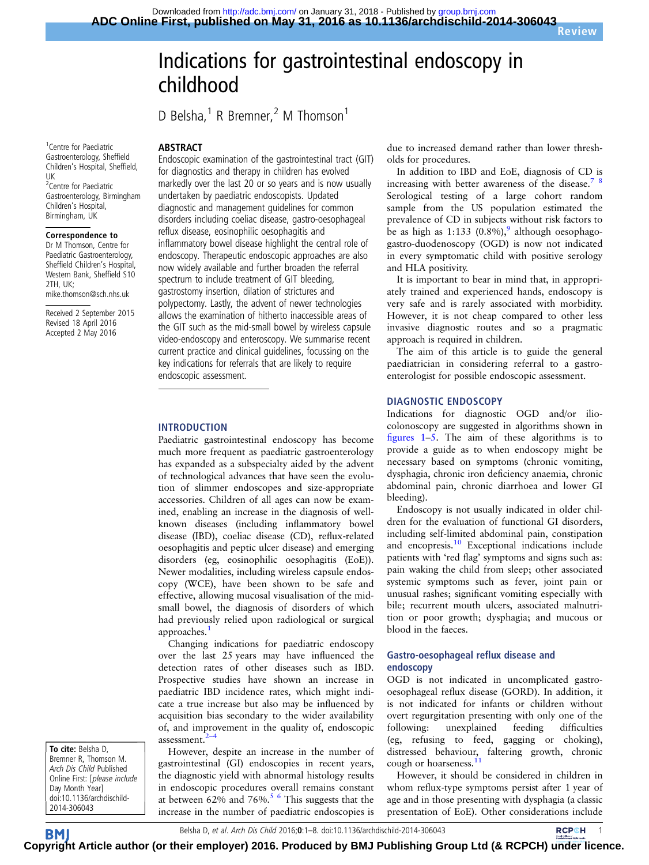# Indications for gastrointestinal endoscopy in childhood

D Belsha, $1 \text{ R}$  Bremner, $2 \text{ M}$  Thomson $1$ 

#### <sup>1</sup> Centre for Paediatric Gastroenterology, Sheffield Children's Hospital, Sheffield, UK

<sup>2</sup> Centre for Paediatric Gastroenterology, Birmingham Children's Hospital, Birmingham, UK

#### Correspondence to

Dr M Thomson, Centre for Paediatric Gastroenterology, Sheffield Children's Hospital, Western Bank, Sheffield S10 2TH, UK; mike.thomson@sch.nhs.uk

Received 2 September 2015 Revised 18 April 2016 Accepted 2 May 2016

# ABSTRACT

Endoscopic examination of the gastrointestinal tract (GIT) for diagnostics and therapy in children has evolved markedly over the last 20 or so years and is now usually undertaken by paediatric endoscopists. Updated diagnostic and management guidelines for common disorders including coeliac disease, gastro-oesophageal reflux disease, eosinophilic oesophagitis and inflammatory bowel disease highlight the central role of endoscopy. Therapeutic endoscopic approaches are also now widely available and further broaden the referral spectrum to include treatment of GIT bleeding, gastrostomy insertion, dilation of strictures and polypectomy. Lastly, the advent of newer technologies allows the examination of hitherto inaccessible areas of the GIT such as the mid-small bowel by wireless capsule video-endoscopy and enteroscopy. We summarise recent current practice and clinical guidelines, focussing on the key indications for referrals that are likely to require endoscopic assessment.

#### INTRODUCTION

Paediatric gastrointestinal endoscopy has become much more frequent as paediatric gastroenterology has expanded as a subspecialty aided by the advent of technological advances that have seen the evolution of slimmer endoscopes and size-appropriate accessories. Children of all ages can now be examined, enabling an increase in the diagnosis of wellknown diseases (including inflammatory bowel disease (IBD), coeliac disease (CD), reflux-related oesophagitis and peptic ulcer disease) and emerging disorders (eg, eosinophilic oesophagitis (EoE)). Newer modalities, including wireless capsule endoscopy (WCE), have been shown to be safe and effective, allowing mucosal visualisation of the midsmall bowel, the diagnosis of disorders of which had previously relied upon radiological or surgical approaches.<sup>[1](#page-7-0)</sup>

Changing indications for paediatric endoscopy over the last 25 years may have influenced the detection rates of other diseases such as IBD. Prospective studies have shown an increase in paediatric IBD incidence rates, which might indicate a true increase but also may be influenced by acquisition bias secondary to the wider availability of, and improvement in the quality of, endoscopic assessment.<sup>2</sup>

However, despite an increase in the number of gastrointestinal (GI) endoscopies in recent years, the diagnostic yield with abnormal histology results in endoscopic procedures overall remains constant at between  $62\%$  and  $76\%$ .<sup>[5 6](#page-7-0)</sup> This suggests that the increase in the number of paediatric endoscopies is

due to increased demand rather than lower thresholds for procedures.

In addition to IBD and EoE, diagnosis of CD is increasing with better awareness of the disease.<sup>7</sup>  $8$ Serological testing of a large cohort random sample from the US population estimated the prevalence of CD in subjects without risk factors to be as high as  $1:133$  (0.8%),<sup>9</sup> although oesophagogastro-duodenoscopy (OGD) is now not indicated in every symptomatic child with positive serology and HLA positivity.

It is important to bear in mind that, in appropriately trained and experienced hands, endoscopy is very safe and is rarely associated with morbidity. However, it is not cheap compared to other less invasive diagnostic routes and so a pragmatic approach is required in children.

The aim of this article is to guide the general paediatrician in considering referral to a gastroenterologist for possible endoscopic assessment.

#### DIAGNOSTIC ENDOSCOPY

Indications for diagnostic OGD and/or iliocolonoscopy are suggested in algorithms shown in fi[gures 1](#page-1-0)–[5](#page-4-0). The aim of these algorithms is to provide a guide as to when endoscopy might be necessary based on symptoms (chronic vomiting, dysphagia, chronic iron deficiency anaemia, chronic abdominal pain, chronic diarrhoea and lower GI bleeding).

Endoscopy is not usually indicated in older children for the evaluation of functional GI disorders, including self-limited abdominal pain, constipation and encopresis.<sup>10</sup> Exceptional indications include patients with 'red flag' symptoms and signs such as: pain waking the child from sleep; other associated systemic symptoms such as fever, joint pain or unusual rashes; significant vomiting especially with bile; recurrent mouth ulcers, associated malnutrition or poor growth; dysphagia; and mucous or blood in the faeces.

#### Gastro-oesophageal reflux disease and endoscopy

OGD is not indicated in uncomplicated gastrooesophageal reflux disease (GORD). In addition, it is not indicated for infants or children without overt regurgitation presenting with only one of the following: unexplained feeding difficulties (eg, refusing to feed, gagging or choking), distressed behaviour, faltering growth, chronic cough or hoarseness.<sup>11</sup>

However, it should be considered in children in whom reflux-type symptoms persist after 1 year of age and in those presenting with dysphagia (a classic presentation of EoE). Other considerations include

To cite: Belsha D, Bremner R, Thomson M. Arch Dis Child Published Online First: [please include Day Month Year] doi:10.1136/archdischild-2014-306043

Belsha D, et al. Arch Dis Child 2016;0:1-8. doi:10.1136/archdischild-2014-306043 **RCPCH** 1

**BM Cop[yrigh](http://adc.bmj.com)t Article author (or their employer) 2016. Produced by BMJ Publishing Group Ltd (& RCPCH) [under l](http://www.rcpch.ac.uk/)icence.**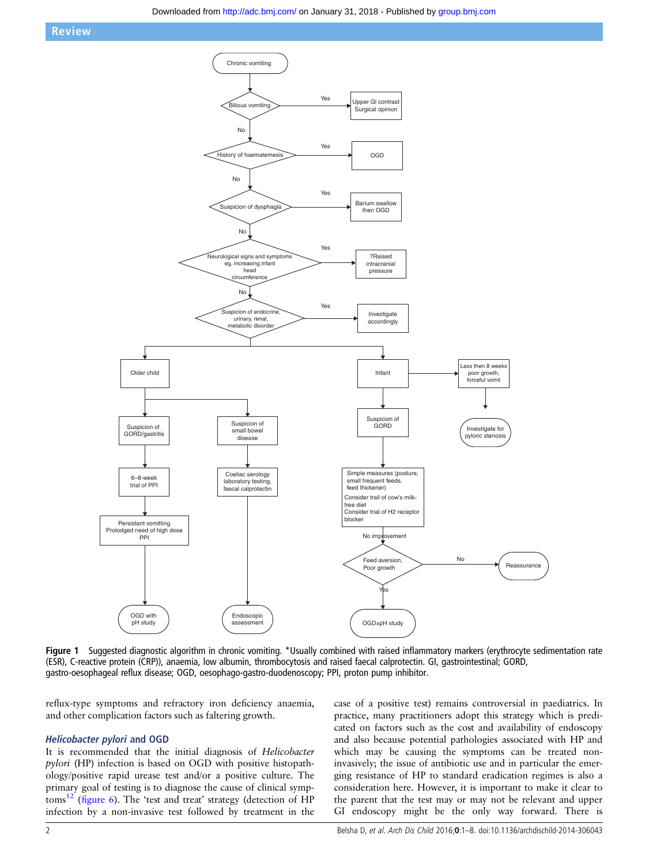<span id="page-1-0"></span>

Figure 1 Suggested diagnostic algorithm in chronic vomiting. \*Usually combined with raised inflammatory markers (erythrocyte sedimentation rate (ESR), C-reactive protein (CRP)), anaemia, low albumin, thrombocytosis and raised faecal calprotectin. GI, gastrointestinal; GORD, gastro-oesophageal reflux disease; OGD, oesophago-gastro-duodenoscopy; PPI, proton pump inhibitor.

reflux-type symptoms and refractory iron deficiency anaemia, and other complication factors such as faltering growth.

#### Helicobacter pylori and OGD

It is recommended that the initial diagnosis of Helicobacter pylori (HP) infection is based on OGD with positive histopathology/positive rapid urease test and/or a positive culture. The primary goal of testing is to diagnose the cause of clinical symp $t$ <sub>toms</sub><sup>[12](#page-7-0)</sup> (fi[gure 6\)](#page-5-0). The 'test and treat' strategy (detection of HP infection by a non-invasive test followed by treatment in the

case of a positive test) remains controversial in paediatrics. In practice, many practitioners adopt this strategy which is predicated on factors such as the cost and availability of endoscopy and also because potential pathologies associated with HP and which may be causing the symptoms can be treated noninvasively; the issue of antibiotic use and in particular the emerging resistance of HP to standard eradication regimes is also a consideration here. However, it is important to make it clear to the parent that the test may or may not be relevant and upper GI endoscopy might be the only way forward. There is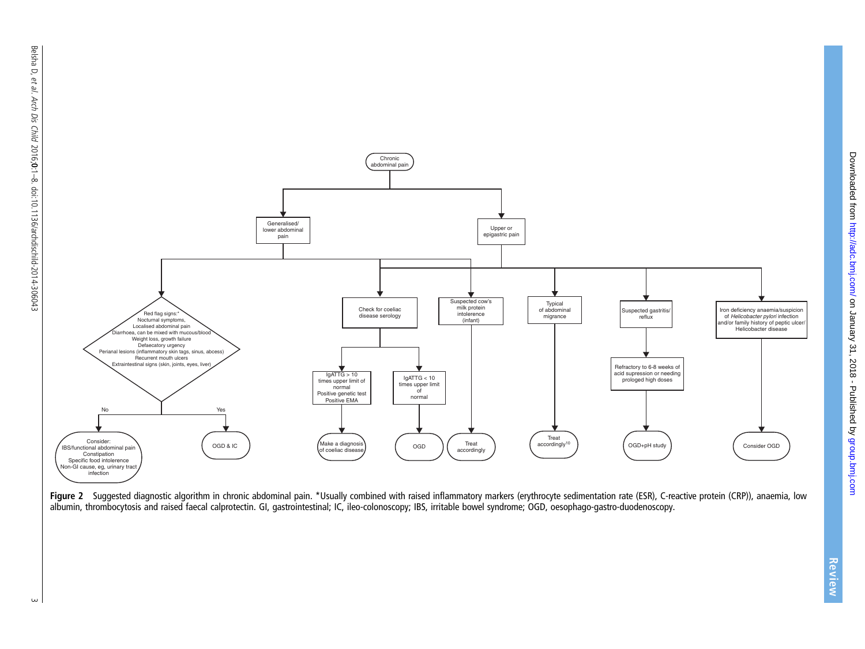<span id="page-2-0"></span>

Figure 2 Suggested diagnostic algorithm in chronic abdominal pain. \*Usually combined with raised inflammatory markers (erythrocyte sedimentation rate (ESR), C-reactive protein (CRP)), anaemia, low albumin, thrombocytosis and raised faecal calprotectin. GI, gastrointestinal; IC, ileo-colonoscopy; IBS, irritable bowel syndrome; OGD, oesophago-gastro-duodenoscopy.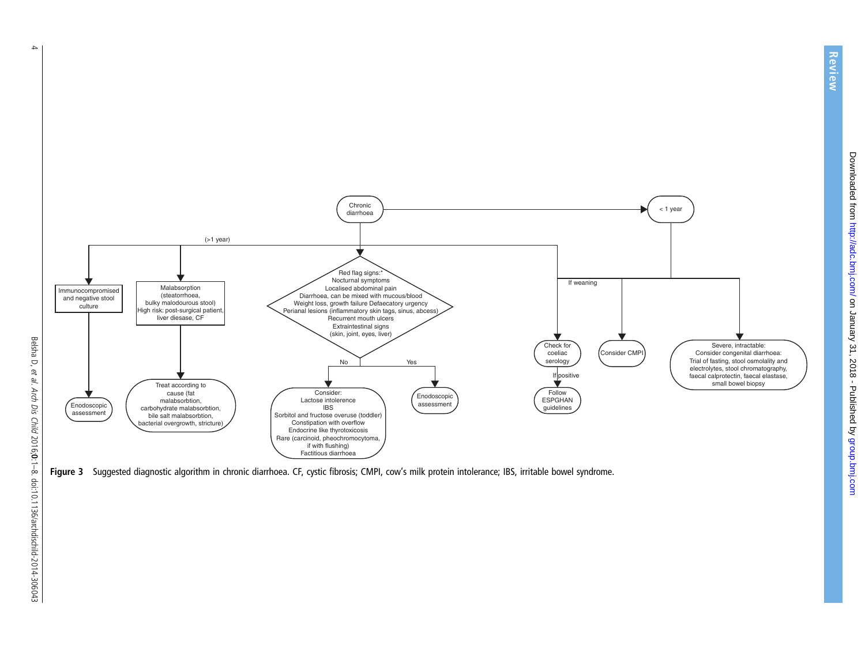

Figure 3 Suggested diagnostic algorithm in chronic diarrhoea. CF, cystic fibrosis; CMPI, cow'<sup>s</sup> milk protein intolerance; IBS, irritable bowel syndrome.

 $\overline{4}$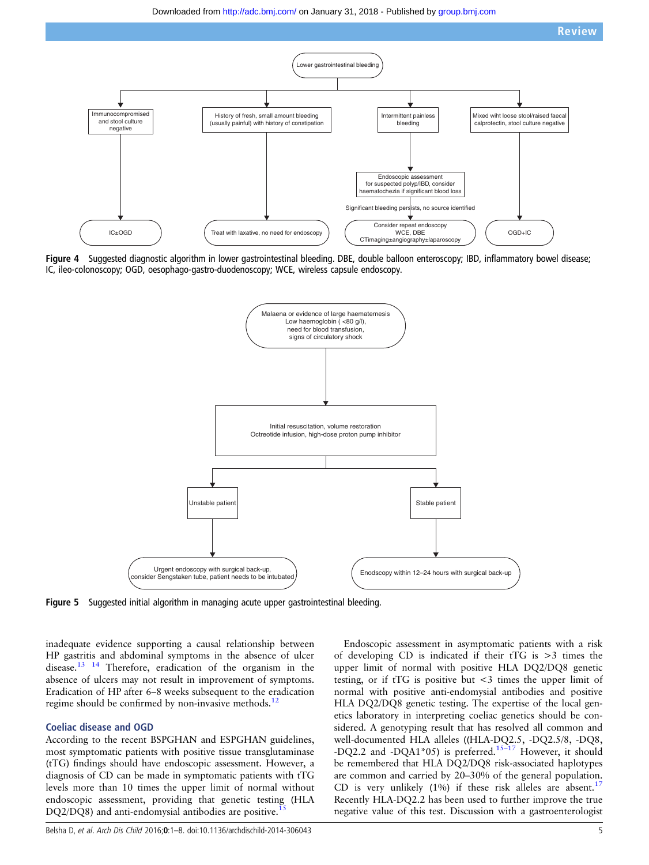<span id="page-4-0"></span>

Figure 4 Suggested diagnostic algorithm in lower gastrointestinal bleeding. DBE, double balloon enteroscopy; IBD, inflammatory bowel disease; IC, ileo-colonoscopy; OGD, oesophago-gastro-duodenoscopy; WCE, wireless capsule endoscopy.



Figure 5 Suggested initial algorithm in managing acute upper gastrointestinal bleeding.

inadequate evidence supporting a causal relationship between HP gastritis and abdominal symptoms in the absence of ulcer disease.[13 14](#page-7-0) Therefore, eradication of the organism in the absence of ulcers may not result in improvement of symptoms. Eradication of HP after 6–8 weeks subsequent to the eradication regime should be confirmed by non-invasive methods.<sup>[12](#page-7-0)</sup>

#### Coeliac disease and OGD

According to the recent BSPGHAN and ESPGHAN guidelines, most symptomatic patients with positive tissue transglutaminase (tTG) findings should have endoscopic assessment. However, a diagnosis of CD can be made in symptomatic patients with tTG levels more than 10 times the upper limit of normal without endoscopic assessment, providing that genetic testing (HLA  $DQ2/DQ8$ ) and anti-endomysial antibodies are positive.

Endoscopic assessment in asymptomatic patients with a risk of developing CD is indicated if their tTG is >3 times the upper limit of normal with positive HLA DQ2/DQ8 genetic testing, or if tTG is positive but <3 times the upper limit of normal with positive anti-endomysial antibodies and positive HLA DQ2/DQ8 genetic testing. The expertise of the local genetics laboratory in interpreting coeliac genetics should be considered. A genotyping result that has resolved all common and well-documented HLA alleles ((HLA-DQ2.5, -DQ2.5/8, -DQ8, -DQ2.2 and -DQA1\*05) is preferred.<sup>[15](#page-7-0)-17</sup> However, it should be remembered that HLA DQ2/DQ8 risk-associated haplotypes are common and carried by 20–30% of the general population. CD is very unlikely  $(1\%)$  if these risk alleles are absent.<sup>[17](#page-7-0)</sup> Recently HLA-DQ2.2 has been used to further improve the true negative value of this test. Discussion with a gastroenterologist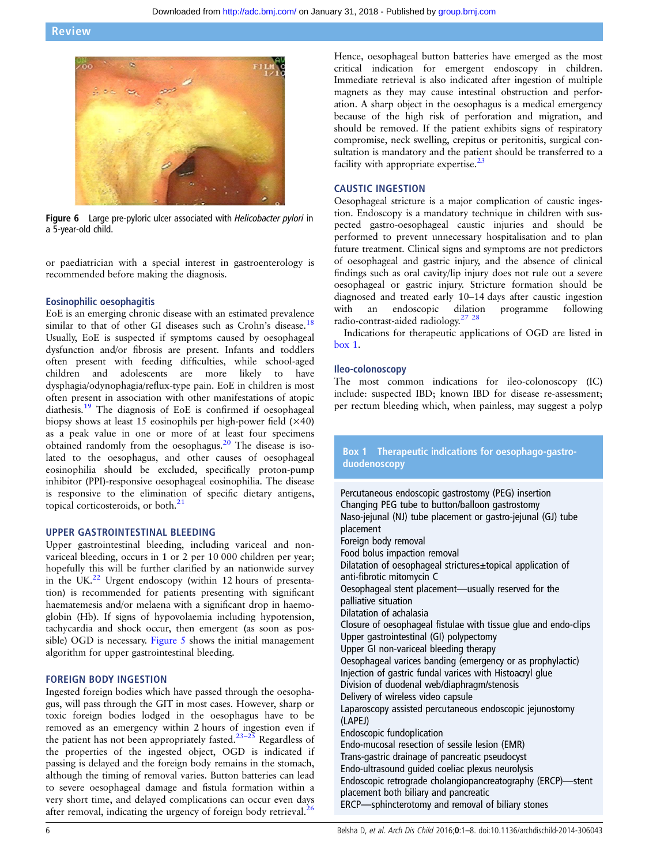<span id="page-5-0"></span>

Figure 6 Large pre-pyloric ulcer associated with *Helicobacter pylori* in a 5-year-old child.

or paediatrician with a special interest in gastroenterology is recommended before making the diagnosis.

#### Eosinophilic oesophagitis

EoE is an emerging chronic disease with an estimated prevalence similar to that of other GI diseases such as Crohn's disease.<sup>[18](#page-7-0)</sup> Usually, EoE is suspected if symptoms caused by oesophageal dysfunction and/or fibrosis are present. Infants and toddlers often present with feeding difficulties, while school-aged children and adolescents are more likely to have dysphagia/odynophagia/reflux-type pain. EoE in children is most often present in association with other manifestations of atopic diathesis.[19](#page-7-0) The diagnosis of EoE is confirmed if oesophageal biopsy shows at least 15 eosinophils per high-power field  $(x40)$ as a peak value in one or more of at least four specimens obtained randomly from the oesophagus.<sup>[20](#page-7-0)</sup> The disease is isolated to the oesophagus, and other causes of oesophageal eosinophilia should be excluded, specifically proton-pump inhibitor (PPI)-responsive oesophageal eosinophilia. The disease is responsive to the elimination of specific dietary antigens, topical corticosteroids, or both.<sup>[21](#page-7-0)</sup>

# UPPER GASTROINTESTINAL BLEEDING

Upper gastrointestinal bleeding, including variceal and nonvariceal bleeding, occurs in 1 or 2 per 10 000 children per year; hopefully this will be further clarified by an nationwide survey in the UK.<sup>[22](#page-7-0)</sup> Urgent endoscopy (within 12 hours of presentation) is recommended for patients presenting with significant haematemesis and/or melaena with a significant drop in haemoglobin (Hb). If signs of hypovolaemia including hypotension, tachycardia and shock occur, then emergent (as soon as possible) OGD is necessary. [Figure 5](#page-4-0) shows the initial management algorithm for upper gastrointestinal bleeding.

#### FOREIGN BODY INGESTION

Ingested foreign bodies which have passed through the oesophagus, will pass through the GIT in most cases. However, sharp or toxic foreign bodies lodged in the oesophagus have to be removed as an emergency within 2 hours of ingestion even if the patient has not been appropriately fasted.<sup>23-25</sup> Regardless of the properties of the ingested object, OGD is indicated if passing is delayed and the foreign body remains in the stomach, although the timing of removal varies. Button batteries can lead to severe oesophageal damage and fistula formation within a very short time, and delayed complications can occur even days after removal, indicating the urgency of foreign body retrieval.<sup>[26](#page-7-0)</sup>

Hence, oesophageal button batteries have emerged as the most critical indication for emergent endoscopy in children. Immediate retrieval is also indicated after ingestion of multiple magnets as they may cause intestinal obstruction and perforation. A sharp object in the oesophagus is a medical emergency because of the high risk of perforation and migration, and should be removed. If the patient exhibits signs of respiratory compromise, neck swelling, crepitus or peritonitis, surgical consultation is mandatory and the patient should be transferred to a facility with appropriate expertise.<sup>[23](#page-7-0)</sup>

# CAUSTIC INGESTION

Oesophageal stricture is a major complication of caustic ingestion. Endoscopy is a mandatory technique in children with suspected gastro-oesophageal caustic injuries and should be performed to prevent unnecessary hospitalisation and to plan future treatment. Clinical signs and symptoms are not predictors of oesophageal and gastric injury, and the absence of clinical findings such as oral cavity/lip injury does not rule out a severe oesophageal or gastric injury. Stricture formation should be diagnosed and treated early 10–14 days after caustic ingestion with an endoscopic dilation programme following radio-contrast-aided radiology.[27 28](#page-7-0)

Indications for therapeutic applications of OGD are listed in box 1.

#### Ileo-colonoscopy

The most common indications for ileo-colonoscopy (IC) include: suspected IBD; known IBD for disease re-assessment; per rectum bleeding which, when painless, may suggest a polyp

Box 1 Therapeutic indications for oesophago-gastroduodenoscopy

Percutaneous endoscopic gastrostomy (PEG) insertion Changing PEG tube to button/balloon gastrostomy Naso-jejunal (NJ) tube placement or gastro-jejunal (GJ) tube placement Foreign body removal Food bolus impaction removal Dilatation of oesophageal strictures±topical application of anti-fibrotic mitomycin C Oesophageal stent placement—usually reserved for the palliative situation Dilatation of achalasia Closure of oesophageal fistulae with tissue glue and endo-clips Upper gastrointestinal (GI) polypectomy Upper GI non-variceal bleeding therapy Oesophageal varices banding (emergency or as prophylactic) Injection of gastric fundal varices with Histoacryl glue Division of duodenal web/diaphragm/stenosis Delivery of wireless video capsule Laparoscopy assisted percutaneous endoscopic jejunostomy (LAPEJ) Endoscopic fundoplication Endo-mucosal resection of sessile lesion (EMR) Trans-gastric drainage of pancreatic pseudocyst Endo-ultrasound guided coeliac plexus neurolysis Endoscopic retrograde cholangiopancreatography (ERCP)—stent placement both biliary and pancreatic ERCP—sphincterotomy and removal of biliary stones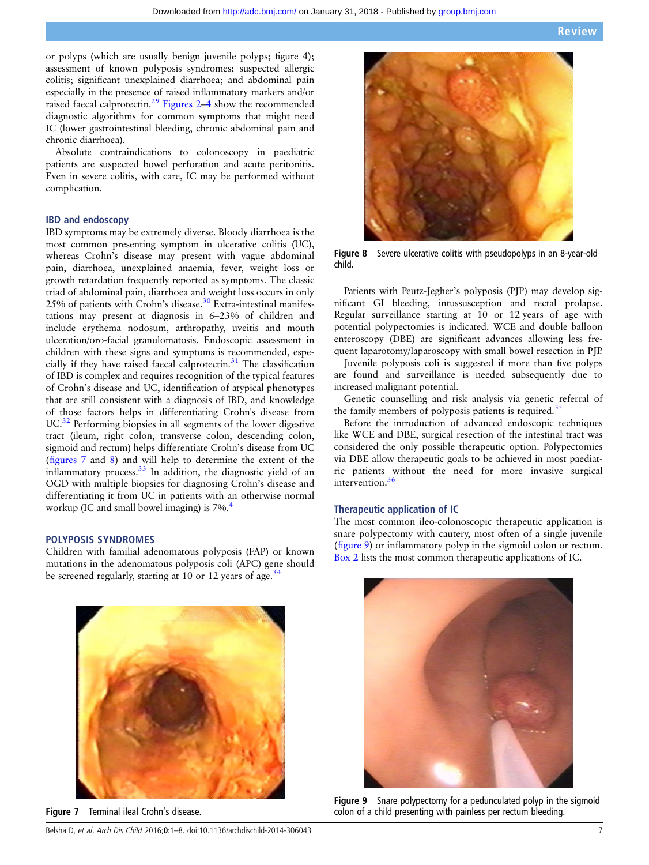or polyps (which are usually benign juvenile polyps; figure 4); assessment of known polyposis syndromes; suspected allergic colitis; significant unexplained diarrhoea; and abdominal pain especially in the presence of raised inflammatory markers and/or raised faecal calprotectin.<sup>29</sup> [Figures 2](#page-2-0)–[4](#page-4-0) show the recommended diagnostic algorithms for common symptoms that might need IC (lower gastrointestinal bleeding, chronic abdominal pain and chronic diarrhoea).

Absolute contraindications to colonoscopy in paediatric patients are suspected bowel perforation and acute peritonitis. Even in severe colitis, with care, IC may be performed without complication.

#### IBD and endoscopy

IBD symptoms may be extremely diverse. Bloody diarrhoea is the most common presenting symptom in ulcerative colitis (UC), whereas Crohn's disease may present with vague abdominal pain, diarrhoea, unexplained anaemia, fever, weight loss or growth retardation frequently reported as symptoms. The classic triad of abdominal pain, diarrhoea and weight loss occurs in only 25% of patients with Crohn's disease.<sup>30</sup> Extra-intestinal manifestations may present at diagnosis in 6–23% of children and include erythema nodosum, arthropathy, uveitis and mouth ulceration/oro-facial granulomatosis. Endoscopic assessment in children with these signs and symptoms is recommended, espe-cially if they have raised faecal calprotectin.<sup>[31](#page-7-0)</sup> The classification of IBD is complex and requires recognition of the typical features of Crohn's disease and UC, identification of atypical phenotypes that are still consistent with a diagnosis of IBD, and knowledge of those factors helps in differentiating Crohn's disease from UC.<sup>32</sup> Performing biopsies in all segments of the lower digestive tract (ileum, right colon, transverse colon, descending colon, sigmoid and rectum) helps differentiate Crohn's disease from UC (figures 7 and 8) and will help to determine the extent of the inflammatory process.<sup>33</sup> In addition, the diagnostic yield of an OGD with multiple biopsies for diagnosing Crohn's disease and differentiating it from UC in patients with an otherwise normal workup (IC and small bowel imaging) is  $7\%$ .<sup>[4](#page-7-0)</sup>

#### POLYPOSIS SYNDROMES

Children with familial adenomatous polyposis (FAP) or known mutations in the adenomatous polyposis coli (APC) gene should be screened regularly, starting at 10 or 12 years of age.<sup>[34](#page-7-0)</sup>





Figure 8 Severe ulcerative colitis with pseudopolyps in an 8-year-old child.

Patients with Peutz-Jegher's polyposis (PJP) may develop significant GI bleeding, intussusception and rectal prolapse. Regular surveillance starting at 10 or 12 years of age with potential polypectomies is indicated. WCE and double balloon enteroscopy (DBE) are significant advances allowing less frequent laparotomy/laparoscopy with small bowel resection in PJP.

Juvenile polyposis coli is suggested if more than five polyps are found and surveillance is needed subsequently due to increased malignant potential.

Genetic counselling and risk analysis via genetic referral of the family members of polyposis patients is required.<sup>35</sup>

Before the introduction of advanced endoscopic techniques like WCE and DBE, surgical resection of the intestinal tract was considered the only possible therapeutic option. Polypectomies via DBE allow therapeutic goals to be achieved in most paediatric patients without the need for more invasive surgical  $intervention<sup>36</sup>$  $intervention<sup>36</sup>$  $intervention<sup>36</sup>$ 

#### Therapeutic application of IC

The most common ileo-colonoscopic therapeutic application is snare polypectomy with cautery, most often of a single juvenile (figure 9) or inflammatory polyp in the sigmoid colon or rectum. [Box 2](#page-7-0) lists the most common therapeutic applications of IC.



Figure 9 Snare polypectomy for a pedunculated polyp in the sigmoid Figure 7 Terminal ileal Crohn's disease. Colon of a child presenting with painless per rectum bleeding.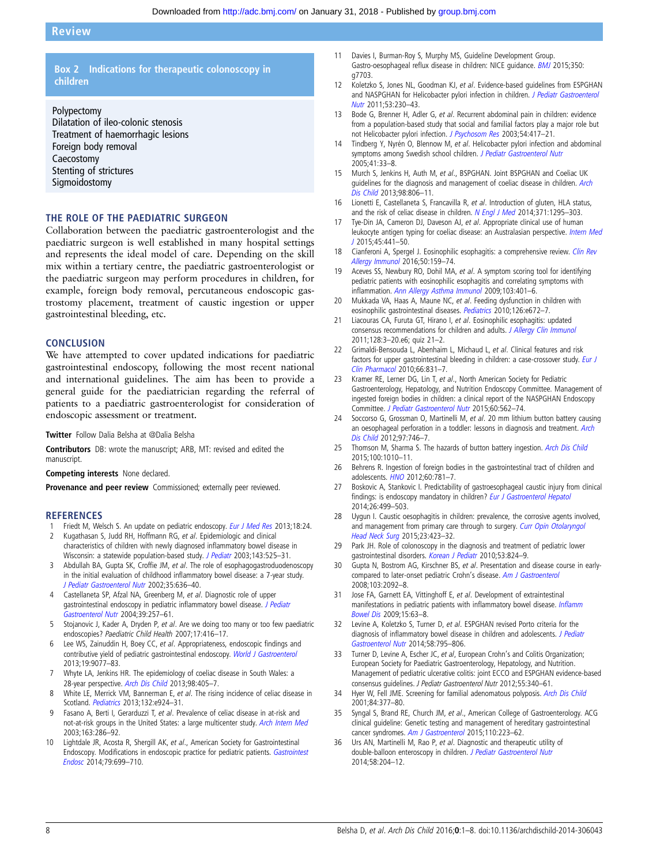# <span id="page-7-0"></span>Review

# Box 2 Indications for therapeutic colonoscopy in children

Polypectomy Dilatation of ileo-colonic stenosis Treatment of haemorrhagic lesions Foreign body removal Caecostomy Stenting of strictures Sigmoidostomy

# THE ROLE OF THE PAEDIATRIC SURGEON

Collaboration between the paediatric gastroenterologist and the paediatric surgeon is well established in many hospital settings and represents the ideal model of care. Depending on the skill mix within a tertiary centre, the paediatric gastroenterologist or the paediatric surgeon may perform procedures in children, for example, foreign body removal, percutaneous endoscopic gastrostomy placement, treatment of caustic ingestion or upper gastrointestinal bleeding, etc.

#### **CONCLUSION**

We have attempted to cover updated indications for paediatric gastrointestinal endoscopy, following the most recent national and international guidelines. The aim has been to provide a general guide for the paediatrician regarding the referral of patients to a paediatric gastroenterologist for consideration of endoscopic assessment or treatment.

Twitter Follow Dalia Belsha at [@Dalia Belsha](http://twitter.com/Dalia Belsha)

Contributors DB: wrote the manuscript; ARB, MT: revised and edited the manuscript.

Competing interests None declared.

Provenance and peer review Commissioned; externally peer reviewed.

### **REFERENCES**

- Friedt M, Welsch S. An update on pediatric endoscopy. [Eur J Med Res](http://dx.doi.org/10.1186/2047-783X-18-24) 2013;18:24.
- 2 Kugathasan S, Judd RH, Hoffmann RG, et al. Epidemiologic and clinical characteristics of children with newly diagnosed inflammatory bowel disease in Wisconsin: a statewide population-based study. [J Pediatr](http://dx.doi.org/10.1067/S0022-3476(03)00444-X) 2003;143:525-31.
- 3 Abdullah BA, Gupta SK, Croffie JM, et al. The role of esophagogastroduodenoscopy in the initial evaluation of childhood inflammatory bowel disease: a 7-year study. [J Pediatr Gastroenterol Nutr](http://dx.doi.org/10.1097/00005176-200211000-00009) 2002;35:636–40.
- 4 Castellaneta SP, Afzal NA, Greenberg M, et al. Diagnostic role of upper gastrointestinal endoscopy in pediatric inflammatory bowel disease. [J Pediatr](http://dx.doi.org/10.1097/00005176-200409000-00006) [Gastroenterol Nutr](http://dx.doi.org/10.1097/00005176-200409000-00006) 2004;39:257–61.
- 5 Stojanovic J, Kader A, Dryden P, et al. Are we doing too many or too few paediatric endoscopies? Paediatric Child Health 2007;17:416–17.
- 6 Lee WS, Zainuddin H, Boey CC, et al. Appropriateness, endoscopic findings and contributive yield of pediatric gastrointestinal endoscopy. [World J Gastroenterol](http://dx.doi.org/10.3748/wjg.v19.i47.9077) 2013;19:9077–83.
- 7 Whyte LA, Jenkins HR. The epidemiology of coeliac disease in South Wales: a 28-year perspective. [Arch Dis Child](http://dx.doi.org/10.1136/archdischild-2012-303113) 2013;98:405–7.
- 8 White LE, Merrick VM, Bannerman E, et al. The rising incidence of celiac disease in Scotland. [Pediatrics](http://dx.doi.org/10.1542/peds.2013-0932) 2013;132:e924–31.
- Fasano A, Berti I, Gerarduzzi T, et al. Prevalence of celiac disease in at-risk and not-at-risk groups in the United States: a large multicenter study. [Arch Intern Med](http://dx.doi.org/10.1001/archinte.163.3.286) 2003;163:286–92.
- 10 Lightdale JR, Acosta R, Shergill AK, et al., American Society for Gastrointestinal Endoscopy. Modifications in endoscopic practice for pediatric patients. [Gastrointest](http://dx.doi.org/10.1016/j.gie.2013.08.014) [Endosc](http://dx.doi.org/10.1016/j.gie.2013.08.014) 2014;79:699–710.
- 11 Davies I, Burman-Roy S, Murphy MS, Guideline Development Group. Gastro-oesophageal reflux disease in children: NICE guidance. **[BMJ](http://dx.doi.org/10.1136/bmj.g7703)** 2015;350: g7703.
- 12 Koletzko S, Jones NL, Goodman KJ, et al. Evidence-based guidelines from ESPGHAN and NASPGHAN for Helicobacter pylori infection in children. [J Pediatr Gastroenterol](http://dx.doi.org/10.1097/MPG.0b013e3182227e90) [Nutr](http://dx.doi.org/10.1097/MPG.0b013e3182227e90) 2011;53:230–43.
- 13 Bode G, Brenner H, Adler G, et al. Recurrent abdominal pain in children: evidence from a population-based study that social and familial factors play a major role but not Helicobacter pylori infection. [J Psychosom Res](http://dx.doi.org/10.1016/S0022-3999(02)00459-2) 2003;54:417-21.
- Tindberg Y, Nyrén O, Blennow M, et al. Helicobacter pylori infection and abdominal symptoms among Swedish school children. [J Pediatr Gastroenterol Nutr](http://dx.doi.org/10.1097/01.MPG.0000163734.84518.9E) 2005;41:33–8.
- 15 Murch S, Jenkins H, Auth M, et al., BSPGHAN. Joint BSPGHAN and Coeliac UK guidelines for the diagnosis and management of coeliac disease in children. [Arch](http://dx.doi.org/10.1136/archdischild-2013-303996) [Dis Child](http://dx.doi.org/10.1136/archdischild-2013-303996) 2013;98:806–11.
- 16 Lionetti E, Castellaneta S, Francavilla R, et al. Introduction of gluten, HLA status, and the risk of celiac disease in children. [N Engl J Med](http://dx.doi.org/10.1056/NEJMoa1400697) 2014;371:1295-303.
- 17 Tye-Din JA, Cameron DJ, Daveson AJ, et al. Appropriate clinical use of human leukocyte antigen typing for coeliac disease: an Australasian perspective. [Intern Med](http://dx.doi.org/10.1111/imj.12716) [J](http://dx.doi.org/10.1111/imj.12716) 2015;45:441–50.
- 18 Cianferoni A, Spergel J. Eosinophilic esophagitis: a comprehensive review. [Clin Rev](http://dx.doi.org/10.1007/s12016-015-8501-z) [Allergy Immunol](http://dx.doi.org/10.1007/s12016-015-8501-z) 2016;50:159–74.
- 19 Aceves SS, Newbury RO, Dohil MA, et al. A symptom scoring tool for identifying pediatric patients with eosinophilic esophagitis and correlating symptoms with inflammation. [Ann Allergy Asthma Immunol](http://dx.doi.org/10.1016/S1081-1206(10)60359-6) 2009;103:401–6.
- 20 Mukkada VA, Haas A, Maune NC, et al. Feeding dysfunction in children with eosinophilic gastrointestinal diseases. [Pediatrics](http://dx.doi.org/10.1542/peds.2009-2227) 2010;126:e672-7.
- 21 Liacouras CA, Furuta GT, Hirano I, et al. Eosinophilic esophagitis: updated consensus recommendations for children and adults. [J Allergy Clin Immunol](http://dx.doi.org/10.1016/j.jaci.2011.02.040) 2011;128:3–20.e6; quiz 21–2.
- 22 Grimaldi-Bensouda L, Abenhaim L, Michaud L, et al. Clinical features and risk factors for upper gastrointestinal bleeding in children: a case-crossover study. [Eur J](http://dx.doi.org/10.1007/s00228-010-0832-3) [Clin Pharmacol](http://dx.doi.org/10.1007/s00228-010-0832-3) 2010;66:831–7.
- 23 Kramer RE, Lerner DG, Lin T, et al., North American Society for Pediatric Gastroenterology, Hepatology, and Nutrition Endoscopy Committee. Management of ingested foreign bodies in children: a clinical report of the NASPGHAN Endoscopy Committee. [J Pediatr Gastroenterol Nutr](http://dx.doi.org/10.1097/MPG.0000000000000729) 2015;60:562–74.
- 24 Soccorso G, Grossman O, Martinelli M, et al. 20 mm lithium button battery causing an oesophageal perforation in a toddler: lessons in diagnosis and treatment. [Arch](http://dx.doi.org/10.1136/archdischild-2012-301631) [Dis Child](http://dx.doi.org/10.1136/archdischild-2012-301631) 2012;97:746–7.
- 25 Thomson M, Sharma S. The hazards of button battery ingestion. [Arch Dis Child](http://dx.doi.org/10.1136/archdischild-2015-308313) 2015;100:1010–11.
- 26 Behrens R. Ingestion of foreign bodies in the gastrointestinal tract of children and adolescents. [HNO](http://dx.doi.org/10.1007/s00106-012-2488-z) 2012;60:781–7.
- 27 Boskovic A, Stankovic I. Predictability of gastroesophageal caustic injury from clinical findings: is endoscopy mandatory in children? [Eur J Gastroenterol Hepatol](http://dx.doi.org/10.1097/MEG.0000000000000060) 2014;26:499–503.
- 28 Uygun I. Caustic oesophagitis in children: prevalence, the corrosive agents involved, and management from primary care through to surgery. [Curr Opin Otolaryngol](http://dx.doi.org/10.1097/MOO.0000000000000198) [Head Neck Surg](http://dx.doi.org/10.1097/MOO.0000000000000198) 2015;23:423–32.
- 29 Park JH. Role of colonoscopy in the diagnosis and treatment of pediatric lower gastrointestinal disorders. [Korean J Pediatr](http://dx.doi.org/10.3345/kjp.2010.53.9.824) 2010;53:824–9.
- 30 Gupta N, Bostrom AG, Kirschner BS, et al. Presentation and disease course in early-compared to later-onset pediatric Crohn's disease. [Am J Gastroenterol](http://dx.doi.org/10.1111/j.1572-0241.2008.02000.x) 2008;103:2092–8.
- 31 Jose FA, Garnett EA, Vittinghoff E, et al. Development of extraintestinal manifestations in pediatric patients with infl[amm](http://dx.doi.org/10.1002/ibd.20604)atory bowel disease. Inflamm [Bowel Dis](http://dx.doi.org/10.1002/ibd.20604) 2009;15:63–8.
- 32 Levine A, Koletzko S, Turner D, et al. ESPGHAN revised Porto criteria for the diagnosis of inflammatory bowel disease in children and adolescents. [J Pediatr](http://dx.doi.org/10.1097/MPG.0000000000000239) [Gastroenterol Nutr](http://dx.doi.org/10.1097/MPG.0000000000000239) 2014;58:795–806.
- 33 Turner D, Levine A, Escher JC, et al, European Crohn's and Colitis Organization; European Society for Paediatric Gastroenterology, Hepatology, and Nutrition. Management of pediatric ulcerative colitis: joint ECCO and ESPGHAN evidence-based consensus guidelines. J Pediatr Gastroenterol Nutr 2012;55:340–61.
- 34 Hyer W, Fell JME. Screening for familial adenomatous polyposis. [Arch Dis Child](http://dx.doi.org/10.1136/adc.84.5.377) 2001;84:377–80.
- 35 Syngal S, Brand RE, Church JM, et al., American College of Gastroenterology. ACG clinical guideline: Genetic testing and management of hereditary gastrointestinal cancer syndromes. [Am J Gastroenterol](http://dx.doi.org/10.1038/ajg.2014.435) 2015;110:223-62.
- 36 Urs AN, Martinelli M, Rao P, et al. Diagnostic and therapeutic utility of double-balloon enteroscopy in children. [J Pediatr Gastroenterol Nutr](http://dx.doi.org/10.1097/MPG.0000000000000192) 2014;58:204–12.